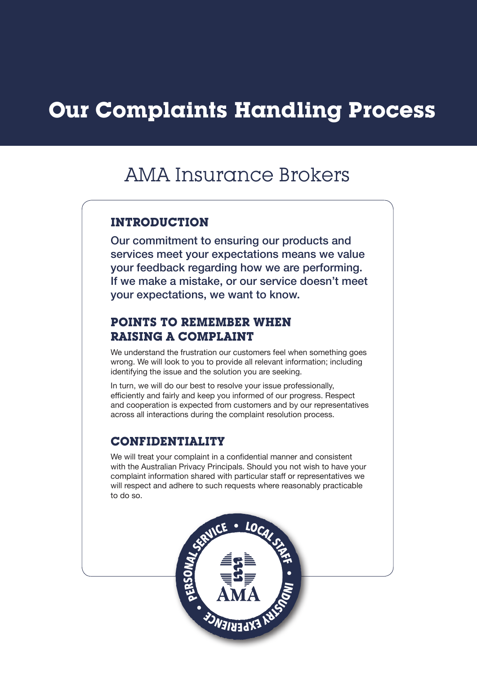# **Our Complaints Handling Process**

# AMA Insurance Brokers

## **INTRODUCTION**

Our commitment to ensuring our products and services meet your expectations means we value your feedback regarding how we are performing. If we make a mistake, or our service doesn't meet your expectations, we want to know.

## **POINTS TO REMEMBER WHEN RAISING A COMPLAINT**

We understand the frustration our customers feel when something goes wrong. We will look to you to provide all relevant information; including identifying the issue and the solution you are seeking.

In turn, we will do our best to resolve your issue professionally, efficiently and fairly and keep you informed of our progress. Respect and cooperation is expected from customers and by our representatives across all interactions during the complaint resolution process.

### **CONFIDENTIALITY**

We will treat your complaint in a confidential manner and consistent with the Australian Privacy Principals. Should you not wish to have your complaint information shared with particular staff or representatives we will respect and adhere to such requests where reasonably practicable to do so.